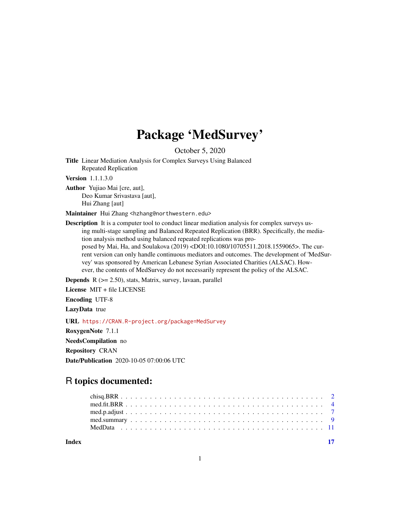# Package 'MedSurvey'

October 5, 2020

Title Linear Mediation Analysis for Complex Surveys Using Balanced Repeated Replication

Version 1.1.1.3.0

Author Yujiao Mai [cre, aut], Deo Kumar Srivastava [aut], Hui Zhang [aut]

Maintainer Hui Zhang <hzhang@northwestern.edu>

Description It is a computer tool to conduct linear mediation analysis for complex surveys using multi-stage sampling and Balanced Repeated Replication (BRR). Specifically, the mediation analysis method using balanced repeated replications was proposed by Mai, Ha, and Soulakova (2019) <DOI:10.1080/10705511.2018.1559065>. The current version can only handle continuous mediators and outcomes. The development of 'MedSurvey' was sponsored by American Lebanese Syrian Associated Charities (ALSAC). However, the contents of MedSurvey do not necessarily represent the policy of the ALSAC.

**Depends** R  $(>= 2.50)$ , stats, Matrix, survey, lavaan, parallel

License MIT + file LICENSE

Encoding UTF-8

LazyData true

URL <https://CRAN.R-project.org/package=MedSurvey>

RoxygenNote 7.1.1

NeedsCompilation no

Repository CRAN

Date/Publication 2020-10-05 07:00:06 UTC

# R topics documented:

**Index** [17](#page-16-0)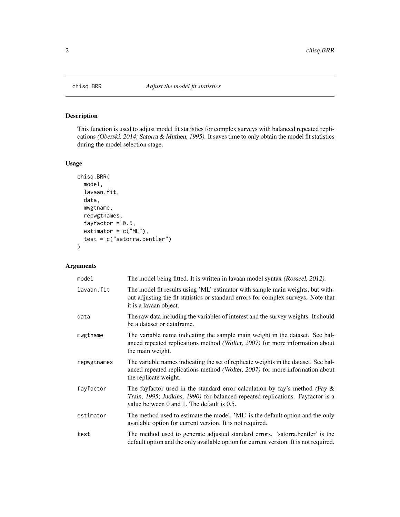<span id="page-1-0"></span>

# Description

This function is used to adjust model fit statistics for complex surveys with balanced repeated replications (Oberski, 2014; Satorra & Muthen, 1995). It saves time to only obtain the model fit statistics during the model selection stage.

# Usage

```
chisq.BRR(
 model,
  lavaan.fit,
  data,
 mwgtname,
  repwgtnames,
  fayfactor = 0.5,
  estimator = c("ML"),
  test = c("satorra.bentler")
)
```
# Arguments

| model       | The model being fitted. It is written in lavaan model syntax (Rosseel, 2012).                                                                                                                                  |
|-------------|----------------------------------------------------------------------------------------------------------------------------------------------------------------------------------------------------------------|
| lavaan.fit  | The model fit results using 'ML' estimator with sample main weights, but with-<br>out adjusting the fit statistics or standard errors for complex surveys. Note that<br>it is a lavaan object.                 |
| data        | The raw data including the variables of interest and the survey weights. It should<br>be a dataset or dataframe.                                                                                               |
| mwgtname    | The variable name indicating the sample main weight in the dataset. See bal-<br>anced repeated replications method (Wolter, 2007) for more information about<br>the main weight.                               |
| repwgtnames | The variable names indicating the set of replicate weights in the dataset. See bal-<br>anced repeated replications method (Wolter, 2007) for more information about<br>the replicate weight.                   |
| fayfactor   | The fayfactor used in the standard error calculation by fay's method (Fay $\&$<br>Train, 1995; Judkins, 1990) for balanced repeated replications. Fayfactor is a<br>value between 0 and 1. The default is 0.5. |
| estimator   | The method used to estimate the model. 'ML' is the default option and the only<br>available option for current version. It is not required.                                                                    |
| test        | The method used to generate adjusted standard errors. 'satorra.bentler' is the<br>default option and the only available option for current version. It is not required.                                        |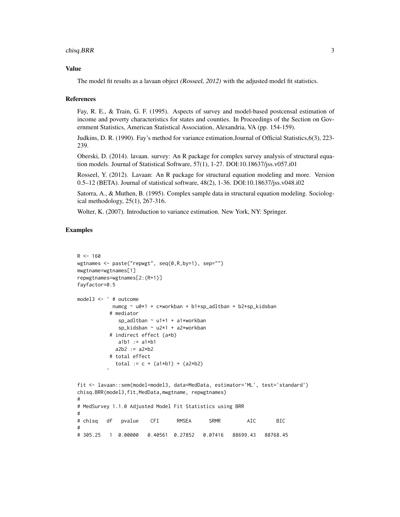# chisq.BRR 3

#### Value

The model fit results as a lavaan object (Rosseel, 2012) with the adjusted model fit statistics.

#### References

Fay, R. E., & Train, G. F. (1995). Aspects of survey and model-based postcensal estimation of income and poverty characteristics for states and counties. In Proceedings of the Section on Government Statistics, American Statistical Association, Alexandria, VA (pp. 154-159).

Judkins, D. R. (1990). Fay's method for variance estimation.Journal of Official Statistics,6(3), 223- 239.

Oberski, D. (2014). lavaan. survey: An R package for complex survey analysis of structural equation models. Journal of Statistical Software, 57(1), 1-27. DOI:10.18637/jss.v057.i01

Rosseel, Y. (2012). Lavaan: An R package for structural equation modeling and more. Version 0.5–12 (BETA). Journal of statistical software, 48(2), 1-36. DOI:10.18637/jss.v048.i02

Satorra, A., & Muthen, B. (1995). Complex sample data in structural equation modeling. Sociological methodology, 25(1), 267-316.

Wolter, K. (2007). Introduction to variance estimation. New York, NY: Springer.

```
R < - 160wgtnames <- paste("repwgt", seq(0,R,by=1), sep="")
mwgtname=wgtnames[1]
repwgtnames=wgtnames[2:(R+1)]
fayfactor=0.5
model3 <- ' # outcome
           numcg ~ u0*1 + c*workban + b1*sp_adltban + b2*sp_kidsban
          # mediator
             sp_adltban ~ u1*1 + a1*workban
             sp_kidsban ~ u2*1 + a2*workban
          # indirect effect (a*b)
             a1b1 := a1*b1a2b2 := a2*b2# total effect
            total := c + (a1*b1) + (a2*b2)fit <- lavaan::sem(model=model3, data=MedData, estimator='ML', test='standard')
chisq.BRR(model3,fit,MedData,mwgtname, repwgtnames)
#
# MedSurvey 1.1.0 Adjusted Model Fit Statistics using BRR
#
# chisq df pvalue CFI RMSEA SRMR AIC BIC
#
# 305.25 1 0.00000 0.40561 0.27852 0.07416 88699.43 88768.45
```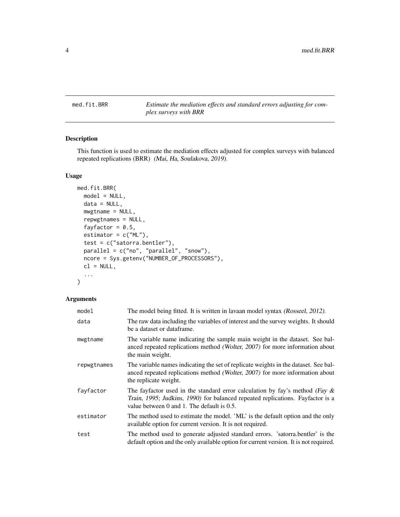<span id="page-3-0"></span>med.fit.BRR *Estimate the mediation effects and standard errors adjusting for complex surveys with BRR*

# Description

This function is used to estimate the mediation effects adjusted for complex surveys with balanced repeated replications (BRR) (Mai, Ha, Soulakova, 2019).

#### Usage

```
med.fit.BRR(
 model = NULL,data = NULL,
 mwgtname = NULL,
 repwgtnames = NULL,
  fayfactor = 0.5,
 estimator = c("ML"),
  test = c("satorra.bentler"),
 parallel = c("no", "parallel", "snow"),
 ncore = Sys.getenv("NUMBER_OF_PROCESSORS"),
 cl = NULL,...
)
```
#### Arguments

| model       | The model being fitted. It is written in lavaan model syntax (Rosseel, 2012).                                                                                                                                  |
|-------------|----------------------------------------------------------------------------------------------------------------------------------------------------------------------------------------------------------------|
| data        | The raw data including the variables of interest and the survey weights. It should<br>be a dataset or dataframe.                                                                                               |
| mwgtname    | The variable name indicating the sample main weight in the dataset. See bal-<br>anced repeated replications method (Wolter, 2007) for more information about<br>the main weight.                               |
| repwgtnames | The variable names indicating the set of replicate weights in the dataset. See bal-<br>anced repeated replications method (Wolter, 2007) for more information about<br>the replicate weight.                   |
| fayfactor   | The fayfactor used in the standard error calculation by fay's method (Fay $\&$<br>Train, 1995; Judkins, 1990) for balanced repeated replications. Fayfactor is a<br>value between 0 and 1. The default is 0.5. |
| estimator   | The method used to estimate the model. 'ML' is the default option and the only<br>available option for current version. It is not required.                                                                    |
| test        | The method used to generate adjusted standard errors. 'satorra.bentler' is the<br>default option and the only available option for current version. It is not required.                                        |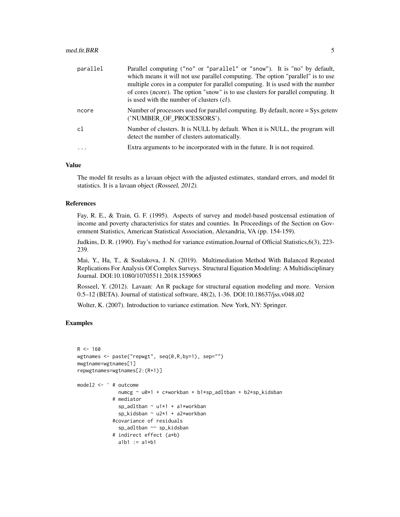| parallel | Parallel computing ("no" or "parallel" or "snow"). It is "no" by default,<br>which means it will not use parallel computing. The option "parallel" is to use<br>multiple cores in a computer for parallel computing. It is used with the number<br>of cores (ncore). The option "snow" is to use clusters for parallel computing. It<br>is used with the number of clusters (cl). |
|----------|-----------------------------------------------------------------------------------------------------------------------------------------------------------------------------------------------------------------------------------------------------------------------------------------------------------------------------------------------------------------------------------|
| ncore    | Number of processors used for parallel computing. By default, ncore = Sys.getenv<br>('NUMBER OF PROCESSORS').                                                                                                                                                                                                                                                                     |
| c1       | Number of clusters. It is NULL by default. When it is NULL, the program will<br>detect the number of clusters automatically.                                                                                                                                                                                                                                                      |
| .        | Extra arguments to be incorporated with in the future. It is not required.                                                                                                                                                                                                                                                                                                        |

#### Value

The model fit results as a lavaan object with the adjusted estimates, standard errors, and model fit statistics. It is a lavaan object (Rosseel, 2012).

#### References

Fay, R. E., & Train, G. F. (1995). Aspects of survey and model-based postcensal estimation of income and poverty characteristics for states and counties. In Proceedings of the Section on Government Statistics, American Statistical Association, Alexandria, VA (pp. 154-159).

Judkins, D. R. (1990). Fay's method for variance estimation.Journal of Official Statistics,6(3), 223- 239.

Mai, Y., Ha, T., & Soulakova, J. N. (2019). Multimediation Method With Balanced Repeated Replications For Analysis Of Complex Surveys. Structural Equation Modeling: A Multidisciplinary Journal. DOI:10.1080/10705511.2018.1559065

Rosseel, Y. (2012). Lavaan: An R package for structural equation modeling and more. Version 0.5–12 (BETA). Journal of statistical software, 48(2), 1-36. DOI:10.18637/jss.v048.i02

Wolter, K. (2007). Introduction to variance estimation. New York, NY: Springer.

```
R < - 160wgtnames <- paste("repwgt", seq(0,R,by=1), sep="")
mwgtname=wgtnames[1]
repwgtnames=wgtnames[2:(R+1)]
model2 <- ' # outcome
             numcg ~ u0*1 + c*workban + b1*sp_adltban + b2*sp_kidsban
            # mediator
              sp_adltban ~ u1*1 + a1*workban
              sp_kidsban ~ u2*1 + a2*workban
            #covariance of residuals
              sp_adltban ~~ sp_kidsban
            # indirect effect (a*b)
              a1b1 := a1*b1
```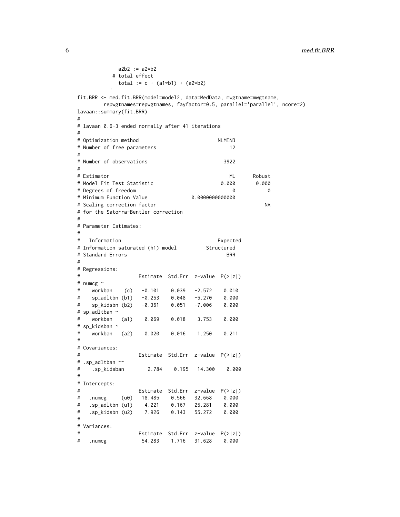```
a2b2 := a2*b2# total effect
          total := c + (a1*b1) + (a2*b2)fit.BRR <- med.fit.BRR(model=model2, data=MedData, mwgtname=mwgtname,
      repwgtnames=repwgtnames, fayfactor=0.5, parallel='parallel', ncore=2)
lavaan::summary(fit.BRR)
#
# lavaan 0.6-3 ended normally after 41 iterations
#
# Optimization method NLMINB
# Number of free parameters 12
#
# Number of observations 3922
#
# Estimator ML Robust
# Model Fit Test Statistic 0.000 0.000
# Degrees of freedom 0 0
# Minimum Function Value
# Scaling correction factor NA
# for the Satorra-Bentler correction
#
# Parameter Estimates:
#
# Information Expected
# Information saturated (h1) model Structured
# Standard Errors BRR
#
# Regressions:
# Estimate Std.Err z-value P(>|z|)
# numcg ~
# workban (c) -0.101 0.039 -2.572 0.010
# sp_adltbn (b1) -0.253 0.048 -5.270 0.000
# sp_kidsbn (b2) -0.361 0.051 -7.006 0.000
# sp_adltban ~
# workban (a1) 0.069 0.018 3.753 0.000
# sp_kidsban ~
# workban (a2) 0.020 0.016 1.250 0.211
#
# Covariances:
# Estimate Std.Err z-value P(>|z|)
# .sp_adltban ~~
# .sp_kidsban 2.784 0.195 14.300 0.000
#
# Intercepts:
# Estimate Std.Err z-value P(>|z|)
# .numcg (u0) 18.485 0.566 32.668 0.000
# .sp_adltbn (u1) 4.221 0.167 25.281 0.000
# .sp_kidsbn (u2) 7.926 0.143 55.272 0.000
#
# Variances:
# Estimate Std.Err z-value P(>|z|)
# .numcg 54.283 1.716 31.628 0.000
```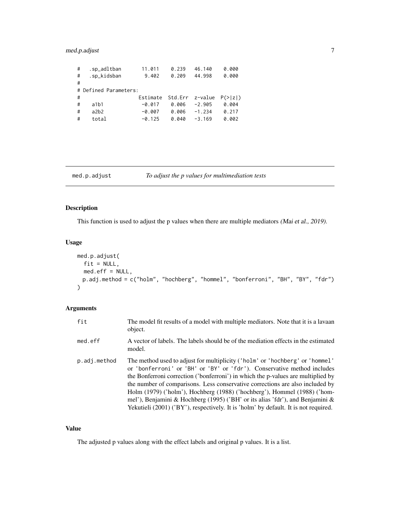# <span id="page-6-0"></span>med.p.adjust 7

| # | .sp_adltban           | 11.011   | 0.239           | 46.140   | 0.000               |
|---|-----------------------|----------|-----------------|----------|---------------------|
| # | .sp_kidsban           | 9.402    | 0.209           | 44.998   | 0.000               |
| # |                       |          |                 |          |                     |
|   | # Defined Parameters: |          |                 |          |                     |
|   |                       |          |                 |          |                     |
| # |                       | Estimate | Std.Err z-value |          | $P(>\vert z \vert)$ |
| # | a1b1                  | $-0.017$ | 0.006           | $-2.905$ | 0.004               |
| # | a2b2                  | $-0.007$ | 0.006           | $-1.234$ | 0.217               |

# med.p.adjust *To adjust the p values for multimediation tests*

# Description

This function is used to adjust the p values when there are multiple mediators (Mai et al., 2019).

#### Usage

```
med.p.adjust(
  fit = NULL,med.eff = NULL,
 p.adj.method = c("holm", "hochberg", "hommel", "bonferroni", "BH", "BY", "fdr")
\mathcal{L}
```
# Arguments

| fit          | The model fit results of a model with multiple mediators. Note that it is a lavaan<br>object.                                                                                                                                                                                                                                                                                                                                                                                                                                                                                    |
|--------------|----------------------------------------------------------------------------------------------------------------------------------------------------------------------------------------------------------------------------------------------------------------------------------------------------------------------------------------------------------------------------------------------------------------------------------------------------------------------------------------------------------------------------------------------------------------------------------|
| med.eff      | A vector of labels. The labels should be of the mediation effects in the estimated<br>model.                                                                                                                                                                                                                                                                                                                                                                                                                                                                                     |
| p.adj.method | The method used to adjust for multiplicity ('holm' or 'hochberg' or 'hommel'<br>or 'bonferroni' or 'BH' or 'BY' or 'fdr'). Conservative method includes<br>the Bonferroni correction ('bonferroni') in which the p-values are multiplied by<br>the number of comparisons. Less conservative corrections are also included by<br>Holm (1979) ('holm'), Hochberg (1988) ('hochberg'), Hommel (1988) ('hom-<br>mel'), Benjamini & Hochberg (1995) ('BH' or its alias 'fdr'), and Benjamini &<br>Yekutieli (2001) ('BY'), respectively. It is 'holm' by default. It is not required. |

# Value

The adjusted p values along with the effect labels and original p values. It is a list.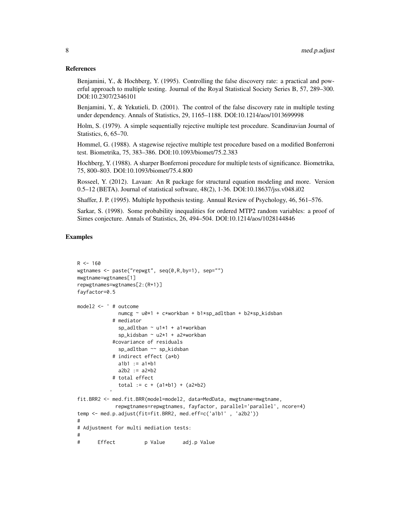#### References

Benjamini, Y., & Hochberg, Y. (1995). Controlling the false discovery rate: a practical and powerful approach to multiple testing. Journal of the Royal Statistical Society Series B, 57, 289–300. DOI:10.2307/2346101

Benjamini, Y., & Yekutieli, D. (2001). The control of the false discovery rate in multiple testing under dependency. Annals of Statistics, 29, 1165–1188. DOI:10.1214/aos/1013699998

Holm, S. (1979). A simple sequentially rejective multiple test procedure. Scandinavian Journal of Statistics, 6, 65–70.

Hommel, G. (1988). A stagewise rejective multiple test procedure based on a modified Bonferroni test. Biometrika, 75, 383–386. DOI:10.1093/biomet/75.2.383

Hochberg, Y. (1988). A sharper Bonferroni procedure for multiple tests of significance. Biometrika, 75, 800–803. DOI:10.1093/biomet/75.4.800

Rosseel, Y. (2012). Lavaan: An R package for structural equation modeling and more. Version 0.5–12 (BETA). Journal of statistical software, 48(2), 1-36. DOI:10.18637/jss.v048.i02

Shaffer, J. P. (1995). Multiple hypothesis testing. Annual Review of Psychology, 46, 561–576.

Sarkar, S. (1998). Some probability inequalities for ordered MTP2 random variables: a proof of Simes conjecture. Annals of Statistics, 26, 494–504. DOI:10.1214/aos/1028144846

```
R < - 160wgtnames <- paste("repwgt", seq(0,R,by=1), sep="")
mwgtname=wgtnames[1]
repwgtnames=wgtnames[2:(R+1)]
fayfactor=0.5
model2 <- ' # outcome
             numcg ~ u0*1 + c*workban + b1*sp_adltban + b2*sp_kidsban
           # mediator
             sp_adltban ~ u1*1 + a1*workban
             sp_kidsban ~ u2*1 + a2*workban
           #covariance of residuals
             sp_adltban ~~ sp_kidsban
           # indirect effect (a*b)
             a1b1 := a1*b1a2b2 := a2*b2# total effect
              total := c + (a1*b1) + (a2*b2)fit.BRR2 <- med.fit.BRR(model=model2, data=MedData, mwgtname=mwgtname,
            repwgtnames=repwgtnames, fayfactor, parallel='parallel', ncore=4)
temp <- med.p.adjust(fit=fit.BRR2, med.eff=c('a1b1' , 'a2b2'))
#
# Adjustment for multi mediation tests:
#
# Effect p Value adj.p Value
```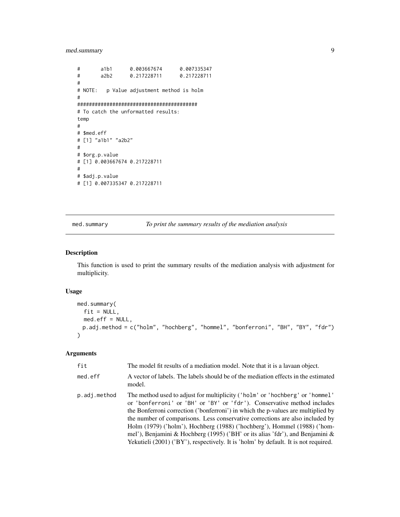# <span id="page-8-0"></span>med.summary 9

```
# a1b1 0.003667674 0.007335347
# a2b2 0.217228711 0.217228711
#
# NOTE: p Value adjustment method is holm
#
#########################################
# To catch the unformatted results:
temp
#
# $med.eff
# [1] "a1b1" "a2b2"
#
# $org.p.value
# [1] 0.003667674 0.217228711
#
# $adj.p.value
# [1] 0.007335347 0.217228711
```
med.summary *To print the summary results of the mediation analysis*

#### Description

This function is used to print the summary results of the mediation analysis with adjustment for multiplicity.

# Usage

```
med.summary(
  fit = NULL,med.eff = NULL,
 p.adj.method = c("holm", "hochberg", "hommel", "bonferroni", "BH", "BY", "fdr")
)
```
#### Arguments

| fit          | The model fit results of a mediation model. Note that it is a lavaan object.                                                                                                                                                                                                                                                                                                                                                                                                                                                                                                     |
|--------------|----------------------------------------------------------------------------------------------------------------------------------------------------------------------------------------------------------------------------------------------------------------------------------------------------------------------------------------------------------------------------------------------------------------------------------------------------------------------------------------------------------------------------------------------------------------------------------|
| med.eff      | A vector of labels. The labels should be of the mediation effects in the estimated<br>model.                                                                                                                                                                                                                                                                                                                                                                                                                                                                                     |
| p.adj.method | The method used to adjust for multiplicity ('holm' or 'hochberg' or 'hommel'<br>or 'bonferroni' or 'BH' or 'BY' or 'fdr'). Conservative method includes<br>the Bonferroni correction ('bonferroni') in which the p-values are multiplied by<br>the number of comparisons. Less conservative corrections are also included by<br>Holm (1979) ('holm'), Hochberg (1988) ('hochberg'), Hommel (1988) ('hom-<br>mel'), Benjamini & Hochberg (1995) ('BH' or its alias 'fdr'), and Benjamini &<br>Yekutieli (2001) ('BY'), respectively. It is 'holm' by default. It is not required. |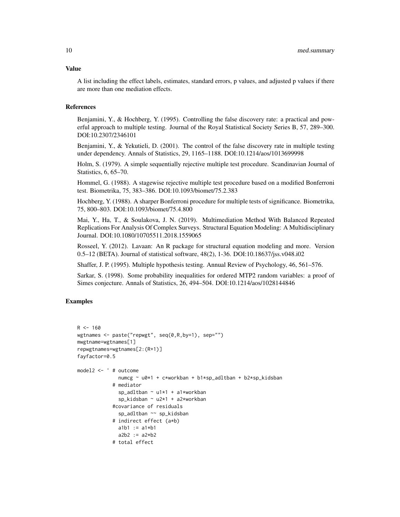#### Value

A list including the effect labels, estimates, standard errors, p values, and adjusted p values if there are more than one mediation effects.

# References

Benjamini, Y., & Hochberg, Y. (1995). Controlling the false discovery rate: a practical and powerful approach to multiple testing. Journal of the Royal Statistical Society Series B, 57, 289–300. DOI:10.2307/2346101

Benjamini, Y., & Yekutieli, D. (2001). The control of the false discovery rate in multiple testing under dependency. Annals of Statistics, 29, 1165–1188. DOI:10.1214/aos/1013699998

Holm, S. (1979). A simple sequentially rejective multiple test procedure. Scandinavian Journal of Statistics, 6, 65–70.

Hommel, G. (1988). A stagewise rejective multiple test procedure based on a modified Bonferroni test. Biometrika, 75, 383–386. DOI:10.1093/biomet/75.2.383

Hochberg, Y. (1988). A sharper Bonferroni procedure for multiple tests of significance. Biometrika, 75, 800–803. DOI:10.1093/biomet/75.4.800

Mai, Y., Ha, T., & Soulakova, J. N. (2019). Multimediation Method With Balanced Repeated Replications For Analysis Of Complex Surveys. Structural Equation Modeling: A Multidisciplinary Journal. DOI:10.1080/10705511.2018.1559065

Rosseel, Y. (2012). Lavaan: An R package for structural equation modeling and more. Version 0.5–12 (BETA). Journal of statistical software, 48(2), 1-36. DOI:10.18637/jss.v048.i02

Shaffer, J. P. (1995). Multiple hypothesis testing. Annual Review of Psychology, 46, 561–576.

Sarkar, S. (1998). Some probability inequalities for ordered MTP2 random variables: a proof of Simes conjecture. Annals of Statistics, 26, 494–504. DOI:10.1214/aos/1028144846

```
R < - 160wgtnames <- paste("repwgt", seq(0,R,by=1), sep="")
mwgtname=wgtnames[1]
repwgtnames=wgtnames[2:(R+1)]
fayfactor=0.5
model2 <- ' # outcome
             numcg ~ u0*1 + c*workban + b1*sp_adltban + b2*sp_kidsban
            # mediator
              sp_adltban ~ u1*1 + a1*workban
              sp_kidsban ~ u2*1 + a2*workban
            #covariance of residuals
             sp_adltban ~~ sp_kidsban
            # indirect effect (a*b)
             a1b1 := a1*b1a2b2 := a2*b2# total effect
```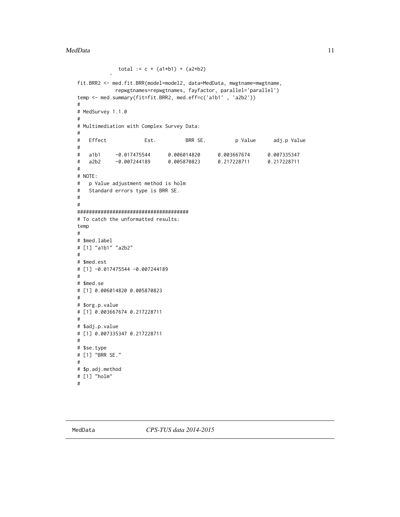```
total := c + (a1*b1) + (a2*b2)fit.BRR2 <- med.fit.BRR(model=model2, data=MedData, mwgtname=mwgtname,
           repwgtnames=repwgtnames, fayfactor, parallel='parallel')
temp <- med.summary(fit=fit.BRR2, med.eff=c('a1b1' , 'a2b2'))
#
# MedSurvey 1.1.0
#
# Multimediation with Complex Survey Data:
#
# Effect Est. BRR SE. p Value adj.p Value
#
# a1b1 -0.017475544 0.006014820 0.003667674 0.007335347
# a2b2 -0.007244189 0.005870823 0.217228711 0.217228711
#
# NOTE:
# p Value adjustment method is holm
# Standard errors type is BRR SE.
#
#
######################################
# To catch the unformatted results:
temp
#
# $med.label
# [1] "a1b1" "a2b2"
#
# $med.est
# [1] -0.017475544 -0.007244189
#
# $med.se
# [1] 0.006014820 0.005870823
#
# $org.p.value
# [1] 0.003667674 0.217228711
#
# $adj.p.value
# [1] 0.007335347 0.217228711
#
# $se.type
# [1] "BRR SE."
#
# $p.adj.method
# [1] "holm"
#
```
MedData *CPS-TUS data 2014-2015*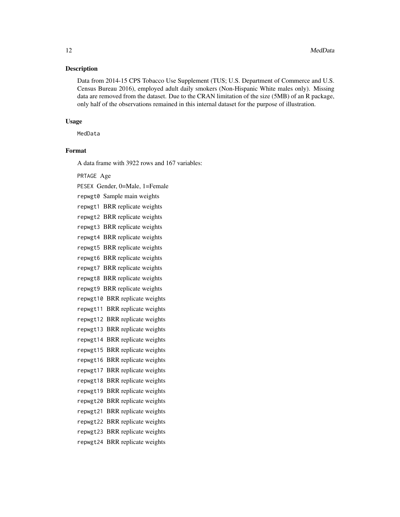#### Description

Data from 2014-15 CPS Tobacco Use Supplement (TUS; U.S. Department of Commerce and U.S. Census Bureau 2016), employed adult daily smokers (Non-Hispanic White males only). Missing data are removed from the dataset. Due to the CRAN limitation of the size (5MB) of an R package, only half of the observations remained in this internal dataset for the purpose of illustration.

#### Usage

MedData

# Format

A data frame with 3922 rows and 167 variables:

#### PRTAGE Age

PESEX Gender, 0=Male, 1=Female repwgt0 Sample main weights repwgt1 BRR replicate weights repwgt2 BRR replicate weights repwgt3 BRR replicate weights repwgt4 BRR replicate weights repwgt5 BRR replicate weights repwgt6 BRR replicate weights repwgt7 BRR replicate weights repwgt8 BRR replicate weights repwgt9 BRR replicate weights repwgt10 BRR replicate weights repwgt11 BRR replicate weights repwgt12 BRR replicate weights repwgt13 BRR replicate weights repwgt14 BRR replicate weights repwgt15 BRR replicate weights repwgt16 BRR replicate weights repwgt17 BRR replicate weights repwgt18 BRR replicate weights repwgt19 BRR replicate weights repwgt20 BRR replicate weights repwgt21 BRR replicate weights repwgt22 BRR replicate weights repwgt23 BRR replicate weights repwgt24 BRR replicate weights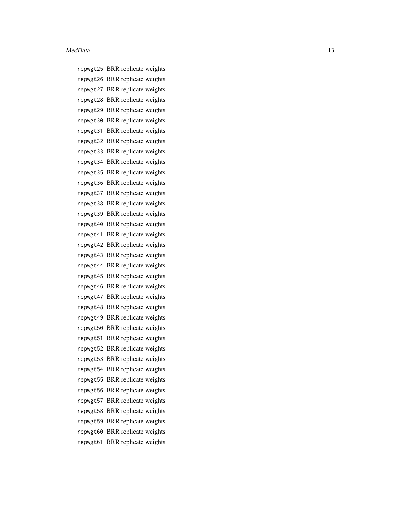repwgt25 BRR replicate weights repwgt26 BRR replicate weights repwgt27 BRR replicate weights repwgt28 BRR replicate weights repwgt29 BRR replicate weights repwgt30 BRR replicate weights repwgt31 BRR replicate weights repwgt32 BRR replicate weights repwgt33 BRR replicate weights repwgt34 BRR replicate weights repwgt35 BRR replicate weights repwgt36 BRR replicate weights repwgt37 BRR replicate weights repwgt38 BRR replicate weights repwgt39 BRR replicate weights repwgt40 BRR replicate weights repwgt41 BRR replicate weights repwgt42 BRR replicate weights repwgt43 BRR replicate weights repwgt44 BRR replicate weights repwgt45 BRR replicate weights repwgt46 BRR replicate weights repwgt47 BRR replicate weights repwgt48 BRR replicate weights repwgt49 BRR replicate weights repwgt50 BRR replicate weights repwgt51 BRR replicate weights repwgt52 BRR replicate weights repwgt53 BRR replicate weights repwgt54 BRR replicate weights repwgt55 BRR replicate weights repwgt56 BRR replicate weights repwgt57 BRR replicate weights repwgt58 BRR replicate weights repwgt59 BRR replicate weights repwgt60 BRR replicate weights repwgt61 BRR replicate weights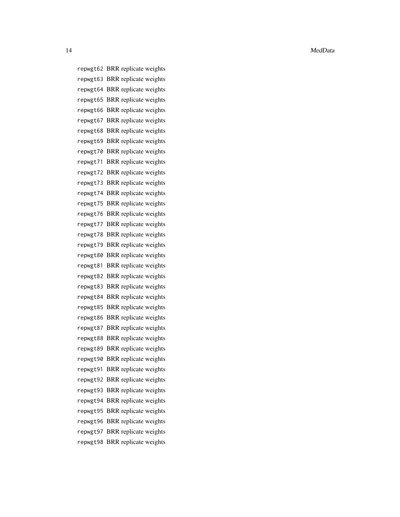14 MedData

repwgt62 BRR replicate weights repwgt63 BRR replicate weights repwgt64 BRR replicate weights repwgt65 BRR replicate weights repwgt66 BRR replicate weights repwgt67 BRR replicate weights repwgt68 BRR replicate weights repwgt69 BRR replicate weights repwgt70 BRR replicate weights repwgt71 BRR replicate weights repwgt72 BRR replicate weights repwgt73 BRR replicate weights repwgt74 BRR replicate weights repwgt75 BRR replicate weights repwgt76 BRR replicate weights repwgt77 BRR replicate weights repwgt78 BRR replicate weights repwgt79 BRR replicate weights repwgt80 BRR replicate weights repwgt81 BRR replicate weights repwgt82 BRR replicate weights repwgt83 BRR replicate weights repwgt84 BRR replicate weights repwgt85 BRR replicate weights repwgt86 BRR replicate weights repwgt87 BRR replicate weights repwgt88 BRR replicate weights repwgt89 BRR replicate weights repwgt90 BRR replicate weights repwgt91 BRR replicate weights repwgt92 BRR replicate weights repwgt93 BRR replicate weights repwgt94 BRR replicate weights repwgt95 BRR replicate weights repwgt96 BRR replicate weights repwgt97 BRR replicate weights repwgt98 BRR replicate weights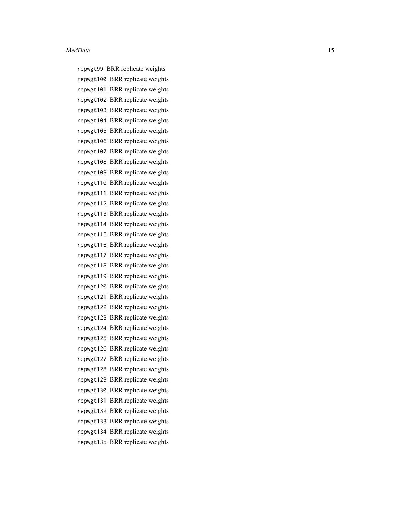repwgt99 BRR replicate weights repwgt100 BRR replicate weights repwgt101 BRR replicate weights repwgt102 BRR replicate weights repwgt103 BRR replicate weights repwgt104 BRR replicate weights repwgt105 BRR replicate weights repwgt106 BRR replicate weights repwgt107 BRR replicate weights repwgt108 BRR replicate weights repwgt109 BRR replicate weights repwgt110 BRR replicate weights repwgt111 BRR replicate weights repwgt112 BRR replicate weights repwgt113 BRR replicate weights repwgt114 BRR replicate weights repwgt115 BRR replicate weights repwgt116 BRR replicate weights repwgt117 BRR replicate weights repwgt118 BRR replicate weights repwgt119 BRR replicate weights repwgt120 BRR replicate weights repwgt121 BRR replicate weights repwgt122 BRR replicate weights repwgt123 BRR replicate weights repwgt124 BRR replicate weights repwgt125 BRR replicate weights repwgt126 BRR replicate weights repwgt127 BRR replicate weights repwgt128 BRR replicate weights repwgt129 BRR replicate weights repwgt130 BRR replicate weights repwgt131 BRR replicate weights repwgt132 BRR replicate weights repwgt133 BRR replicate weights repwgt134 BRR replicate weights repwgt135 BRR replicate weights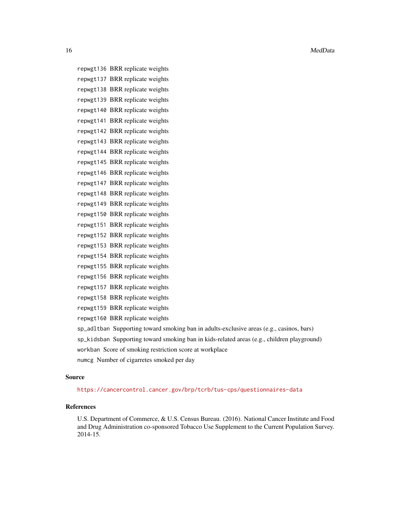16 MedData and the contract of the contract of the contract of the contract of the contract of the contract of the contract of the contract of the contract of the contract of the contract of the contract of the contract of

repwgt136 BRR replicate weights repwgt137 BRR replicate weights repwgt138 BRR replicate weights repwgt139 BRR replicate weights repwgt140 BRR replicate weights repwgt141 BRR replicate weights repwgt142 BRR replicate weights repwgt143 BRR replicate weights repwgt144 BRR replicate weights repwgt145 BRR replicate weights repwgt146 BRR replicate weights repwgt147 BRR replicate weights repwgt148 BRR replicate weights repwgt149 BRR replicate weights repwgt150 BRR replicate weights repwgt151 BRR replicate weights repwgt152 BRR replicate weights repwgt153 BRR replicate weights repwgt154 BRR replicate weights repwgt155 BRR replicate weights repwgt156 BRR replicate weights repwgt157 BRR replicate weights repwgt158 BRR replicate weights repwgt159 BRR replicate weights repwgt160 BRR replicate weights sp\_adltban Supporting toward smoking ban in adults-exclusive areas (e.g., casinos, bars)

sp\_kidsban Supporting toward smoking ban in kids-related areas (e.g., children playground) workban Score of smoking restriction score at workplace numcg Number of cigarretes smoked per day

#### Source

<https://cancercontrol.cancer.gov/brp/tcrb/tus-cps/questionnaires-data>

#### References

U.S. Department of Commerce, & U.S. Census Bureau. (2016). National Cancer Institute and Food and Drug Administration co-sponsored Tobacco Use Supplement to the Current Population Survey. 2014-15.